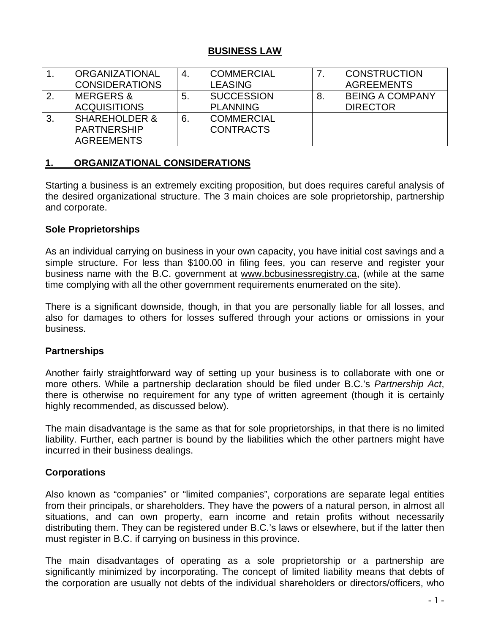#### **BUSINESS LAW**

|                  | <b>ORGANIZATIONAL</b>    | -4. | <b>COMMERCIAL</b> |    | <b>CONSTRUCTION</b>    |
|------------------|--------------------------|-----|-------------------|----|------------------------|
|                  | <b>CONSIDERATIONS</b>    |     | <b>LEASING</b>    |    | <b>AGREEMENTS</b>      |
| $\overline{2}$ . | <b>MERGERS &amp;</b>     | 5.  | <b>SUCCESSION</b> | 8. | <b>BEING A COMPANY</b> |
|                  | <b>ACQUISITIONS</b>      |     | <b>PLANNING</b>   |    | <b>DIRECTOR</b>        |
| 3.               | <b>SHAREHOLDER &amp;</b> | 6.  | <b>COMMERCIAL</b> |    |                        |
|                  | <b>PARTNERSHIP</b>       |     | <b>CONTRACTS</b>  |    |                        |
|                  | <b>AGREEMENTS</b>        |     |                   |    |                        |

# **1. ORGANIZATIONAL CONSIDERATIONS**

Starting a business is an extremely exciting proposition, but does requires careful analysis of the desired organizational structure. The 3 main choices are sole proprietorship, partnership and corporate.

### **Sole Proprietorships**

As an individual carrying on business in your own capacity, you have initial cost savings and a simple structure. For less than \$100.00 in filing fees, you can reserve and register your business name with the B.C. government at [www.bcbusinessregistry.ca,](http://www.bcbusinessregistry.ca/) (while at the same time complying with all the other government requirements enumerated on the site).

There is a significant downside, though, in that you are personally liable for all losses, and also for damages to others for losses suffered through your actions or omissions in your business.

#### **Partnerships**

Another fairly straightforward way of setting up your business is to collaborate with one or more others. While a partnership declaration should be filed under B.C.'s *Partnership Act*, there is otherwise no requirement for any type of written agreement (though it is certainly highly recommended, as discussed below).

The main disadvantage is the same as that for sole proprietorships, in that there is no limited liability. Further, each partner is bound by the liabilities which the other partners might have incurred in their business dealings.

# **Corporations**

Also known as "companies" or "limited companies", corporations are separate legal entities from their principals, or shareholders. They have the powers of a natural person, in almost all situations, and can own property, earn income and retain profits without necessarily distributing them. They can be registered under B.C.'s laws or elsewhere, but if the latter then must register in B.C. if carrying on business in this province.

The main disadvantages of operating as a sole proprietorship or a partnership are significantly minimized by incorporating. The concept of limited liability means that debts of the corporation are usually not debts of the individual shareholders or directors/officers, who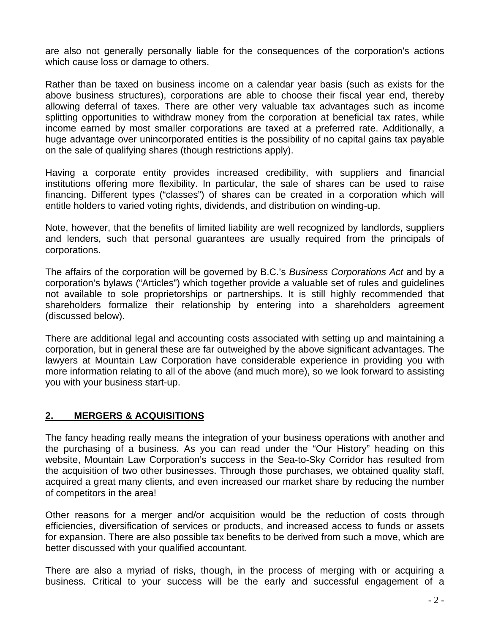are also not generally personally liable for the consequences of the corporation's actions which cause loss or damage to others.

Rather than be taxed on business income on a calendar year basis (such as exists for the above business structures), corporations are able to choose their fiscal year end, thereby allowing deferral of taxes. There are other very valuable tax advantages such as income splitting opportunities to withdraw money from the corporation at beneficial tax rates, while income earned by most smaller corporations are taxed at a preferred rate. Additionally, a huge advantage over unincorporated entities is the possibility of no capital gains tax payable on the sale of qualifying shares (though restrictions apply).

Having a corporate entity provides increased credibility, with suppliers and financial institutions offering more flexibility. In particular, the sale of shares can be used to raise financing. Different types ("classes") of shares can be created in a corporation which will entitle holders to varied voting rights, dividends, and distribution on winding-up.

Note, however, that the benefits of limited liability are well recognized by landlords, suppliers and lenders, such that personal guarantees are usually required from the principals of corporations.

The affairs of the corporation will be governed by B.C.'s *Business Corporations Act* and by a corporation's bylaws ("Articles") which together provide a valuable set of rules and guidelines not available to sole proprietorships or partnerships. It is still highly recommended that shareholders formalize their relationship by entering into a shareholders agreement (discussed below).

There are additional legal and accounting costs associated with setting up and maintaining a corporation, but in general these are far outweighed by the above significant advantages. The lawyers at Mountain Law Corporation have considerable experience in providing you with more information relating to all of the above (and much more), so we look forward to assisting you with your business start-up.

# **2. MERGERS & ACQUISITIONS**

The fancy heading really means the integration of your business operations with another and the purchasing of a business. As you can read under the "Our History" heading on this website, Mountain Law Corporation's success in the Sea-to-Sky Corridor has resulted from the acquisition of two other businesses. Through those purchases, we obtained quality staff, acquired a great many clients, and even increased our market share by reducing the number of competitors in the area!

Other reasons for a merger and/or acquisition would be the reduction of costs through efficiencies, diversification of services or products, and increased access to funds or assets for expansion. There are also possible tax benefits to be derived from such a move, which are better discussed with your qualified accountant.

There are also a myriad of risks, though, in the process of merging with or acquiring a business. Critical to your success will be the early and successful engagement of a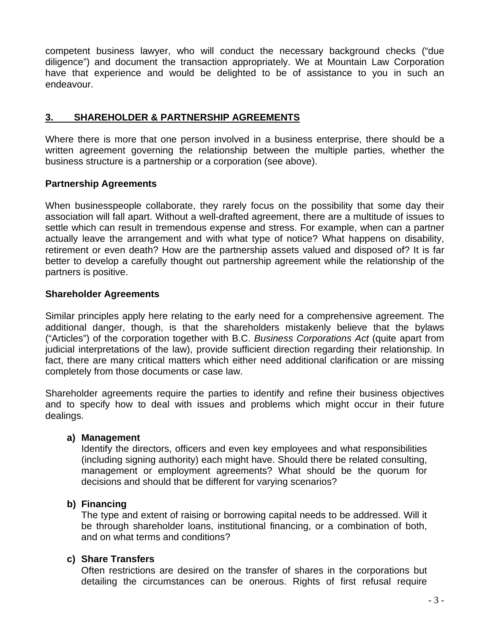competent business lawyer, who will conduct the necessary background checks ("due diligence") and document the transaction appropriately. We at Mountain Law Corporation have that experience and would be delighted to be of assistance to you in such an endeavour.

### **3. SHAREHOLDER & PARTNERSHIP AGREEMENTS**

Where there is more that one person involved in a business enterprise, there should be a written agreement governing the relationship between the multiple parties, whether the business structure is a partnership or a corporation (see above).

### **Partnership Agreements**

When businesspeople collaborate, they rarely focus on the possibility that some day their association will fall apart. Without a well-drafted agreement, there are a multitude of issues to settle which can result in tremendous expense and stress. For example, when can a partner actually leave the arrangement and with what type of notice? What happens on disability, retirement or even death? How are the partnership assets valued and disposed of? It is far better to develop a carefully thought out partnership agreement while the relationship of the partners is positive.

### **Shareholder Agreements**

Similar principles apply here relating to the early need for a comprehensive agreement. The additional danger, though, is that the shareholders mistakenly believe that the bylaws ("Articles") of the corporation together with B.C. *Business Corporations Act* (quite apart from judicial interpretations of the law), provide sufficient direction regarding their relationship. In fact, there are many critical matters which either need additional clarification or are missing completely from those documents or case law.

Shareholder agreements require the parties to identify and refine their business objectives and to specify how to deal with issues and problems which might occur in their future dealings.

#### **a) Management**

Identify the directors, officers and even key employees and what responsibilities (including signing authority) each might have. Should there be related consulting, management or employment agreements? What should be the quorum for decisions and should that be different for varying scenarios?

#### **b) Financing**

The type and extent of raising or borrowing capital needs to be addressed. Will it be through shareholder loans, institutional financing, or a combination of both, and on what terms and conditions?

#### **c) Share Transfers**

Often restrictions are desired on the transfer of shares in the corporations but detailing the circumstances can be onerous. Rights of first refusal require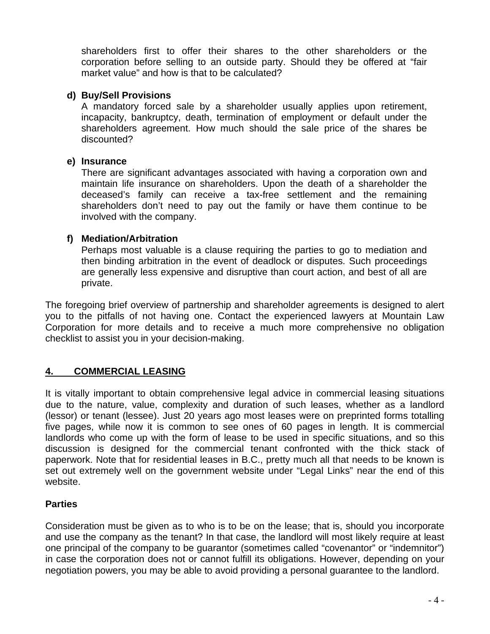shareholders first to offer their shares to the other shareholders or the corporation before selling to an outside party. Should they be offered at "fair market value" and how is that to be calculated?

#### **d) Buy/Sell Provisions**

A mandatory forced sale by a shareholder usually applies upon retirement, incapacity, bankruptcy, death, termination of employment or default under the shareholders agreement. How much should the sale price of the shares be discounted?

#### **e) Insurance**

There are significant advantages associated with having a corporation own and maintain life insurance on shareholders. Upon the death of a shareholder the deceased's family can receive a tax-free settlement and the remaining shareholders don't need to pay out the family or have them continue to be involved with the company.

### **f) Mediation/Arbitration**

Perhaps most valuable is a clause requiring the parties to go to mediation and then binding arbitration in the event of deadlock or disputes. Such proceedings are generally less expensive and disruptive than court action, and best of all are private.

The foregoing brief overview of partnership and shareholder agreements is designed to alert you to the pitfalls of not having one. Contact the experienced lawyers at Mountain Law Corporation for more details and to receive a much more comprehensive no obligation checklist to assist you in your decision-making.

# **4. COMMERCIAL LEASING**

It is vitally important to obtain comprehensive legal advice in commercial leasing situations due to the nature, value, complexity and duration of such leases, whether as a landlord (lessor) or tenant (lessee). Just 20 years ago most leases were on preprinted forms totalling five pages, while now it is common to see ones of 60 pages in length. It is commercial landlords who come up with the form of lease to be used in specific situations, and so this discussion is designed for the commercial tenant confronted with the thick stack of paperwork. Note that for residential leases in B.C., pretty much all that needs to be known is set out extremely well on the government website under "Legal Links" near the end of this website.

# **Parties**

Consideration must be given as to who is to be on the lease; that is, should you incorporate and use the company as the tenant? In that case, the landlord will most likely require at least one principal of the company to be guarantor (sometimes called "covenantor" or "indemnitor") in case the corporation does not or cannot fulfill its obligations. However, depending on your negotiation powers, you may be able to avoid providing a personal guarantee to the landlord.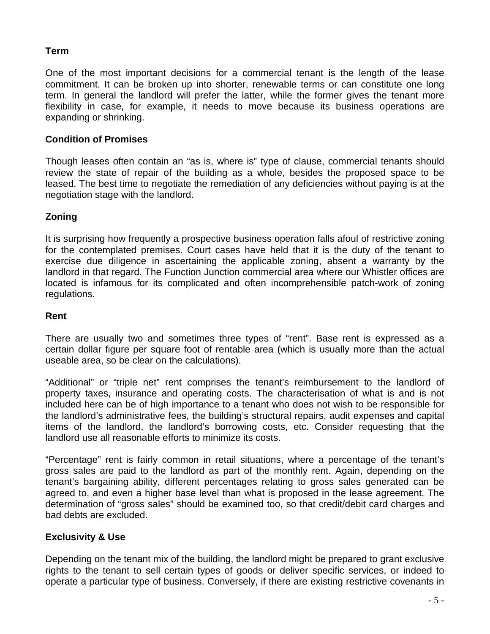# **Term**

One of the most important decisions for a commercial tenant is the length of the lease commitment. It can be broken up into shorter, renewable terms or can constitute one long term. In general the landlord will prefer the latter, while the former gives the tenant more flexibility in case, for example, it needs to move because its business operations are expanding or shrinking.

### **Condition of Promises**

Though leases often contain an "as is, where is" type of clause, commercial tenants should review the state of repair of the building as a whole, besides the proposed space to be leased. The best time to negotiate the remediation of any deficiencies without paying is at the negotiation stage with the landlord.

# **Zoning**

It is surprising how frequently a prospective business operation falls afoul of restrictive zoning for the contemplated premises. Court cases have held that it is the duty of the tenant to exercise due diligence in ascertaining the applicable zoning, absent a warranty by the landlord in that regard. The Function Junction commercial area where our Whistler offices are located is infamous for its complicated and often incomprehensible patch-work of zoning regulations.

### **Rent**

There are usually two and sometimes three types of "rent". Base rent is expressed as a certain dollar figure per square foot of rentable area (which is usually more than the actual useable area, so be clear on the calculations).

"Additional" or "triple net" rent comprises the tenant's reimbursement to the landlord of property taxes, insurance and operating costs. The characterisation of what is and is not included here can be of high importance to a tenant who does not wish to be responsible for the landlord's administrative fees, the building's structural repairs, audit expenses and capital items of the landlord, the landlord's borrowing costs, etc. Consider requesting that the landlord use all reasonable efforts to minimize its costs.

"Percentage" rent is fairly common in retail situations, where a percentage of the tenant's gross sales are paid to the landlord as part of the monthly rent. Again, depending on the tenant's bargaining ability, different percentages relating to gross sales generated can be agreed to, and even a higher base level than what is proposed in the lease agreement. The determination of "gross sales" should be examined too, so that credit/debit card charges and bad debts are excluded.

# **Exclusivity & Use**

Depending on the tenant mix of the building, the landlord might be prepared to grant exclusive rights to the tenant to sell certain types of goods or deliver specific services, or indeed to operate a particular type of business. Conversely, if there are existing restrictive covenants in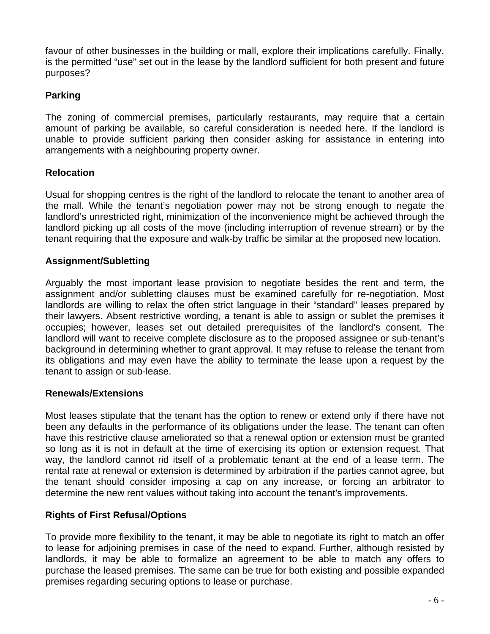favour of other businesses in the building or mall, explore their implications carefully. Finally, is the permitted "use" set out in the lease by the landlord sufficient for both present and future purposes?

### **Parking**

The zoning of commercial premises, particularly restaurants, may require that a certain amount of parking be available, so careful consideration is needed here. If the landlord is unable to provide sufficient parking then consider asking for assistance in entering into arrangements with a neighbouring property owner.

### **Relocation**

Usual for shopping centres is the right of the landlord to relocate the tenant to another area of the mall. While the tenant's negotiation power may not be strong enough to negate the landlord's unrestricted right, minimization of the inconvenience might be achieved through the landlord picking up all costs of the move (including interruption of revenue stream) or by the tenant requiring that the exposure and walk-by traffic be similar at the proposed new location.

### **Assignment/Subletting**

Arguably the most important lease provision to negotiate besides the rent and term, the assignment and/or subletting clauses must be examined carefully for re-negotiation. Most landlords are willing to relax the often strict language in their "standard" leases prepared by their lawyers. Absent restrictive wording, a tenant is able to assign or sublet the premises it occupies; however, leases set out detailed prerequisites of the landlord's consent. The landlord will want to receive complete disclosure as to the proposed assignee or sub-tenant's background in determining whether to grant approval. It may refuse to release the tenant from its obligations and may even have the ability to terminate the lease upon a request by the tenant to assign or sub-lease.

#### **Renewals/Extensions**

Most leases stipulate that the tenant has the option to renew or extend only if there have not been any defaults in the performance of its obligations under the lease. The tenant can often have this restrictive clause ameliorated so that a renewal option or extension must be granted so long as it is not in default at the time of exercising its option or extension request. That way, the landlord cannot rid itself of a problematic tenant at the end of a lease term. The rental rate at renewal or extension is determined by arbitration if the parties cannot agree, but the tenant should consider imposing a cap on any increase, or forcing an arbitrator to determine the new rent values without taking into account the tenant's improvements.

# **Rights of First Refusal/Options**

To provide more flexibility to the tenant, it may be able to negotiate its right to match an offer to lease for adjoining premises in case of the need to expand. Further, although resisted by landlords, it may be able to formalize an agreement to be able to match any offers to purchase the leased premises. The same can be true for both existing and possible expanded premises regarding securing options to lease or purchase.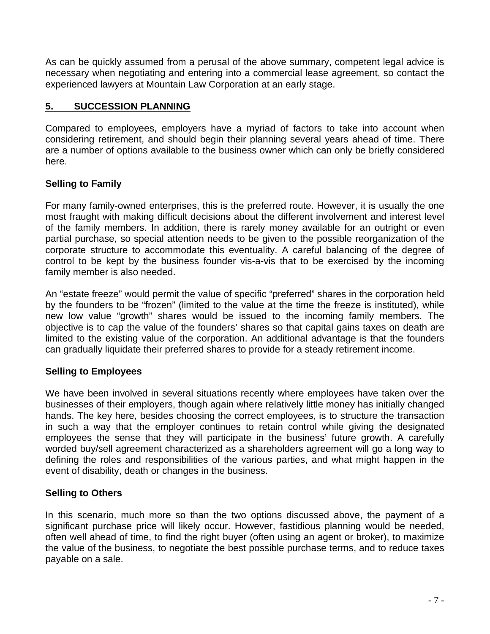As can be quickly assumed from a perusal of the above summary, competent legal advice is necessary when negotiating and entering into a commercial lease agreement, so contact the experienced lawyers at Mountain Law Corporation at an early stage.

### **5. SUCCESSION PLANNING**

Compared to employees, employers have a myriad of factors to take into account when considering retirement, and should begin their planning several years ahead of time. There are a number of options available to the business owner which can only be briefly considered here.

### **Selling to Family**

For many family-owned enterprises, this is the preferred route. However, it is usually the one most fraught with making difficult decisions about the different involvement and interest level of the family members. In addition, there is rarely money available for an outright or even partial purchase, so special attention needs to be given to the possible reorganization of the corporate structure to accommodate this eventuality. A careful balancing of the degree of control to be kept by the business founder vis-a-vis that to be exercised by the incoming family member is also needed.

An "estate freeze" would permit the value of specific "preferred" shares in the corporation held by the founders to be "frozen" (limited to the value at the time the freeze is instituted), while new low value "growth" shares would be issued to the incoming family members. The objective is to cap the value of the founders' shares so that capital gains taxes on death are limited to the existing value of the corporation. An additional advantage is that the founders can gradually liquidate their preferred shares to provide for a steady retirement income.

#### **Selling to Employees**

We have been involved in several situations recently where employees have taken over the businesses of their employers, though again where relatively little money has initially changed hands. The key here, besides choosing the correct employees, is to structure the transaction in such a way that the employer continues to retain control while giving the designated employees the sense that they will participate in the business' future growth. A carefully worded buy/sell agreement characterized as a shareholders agreement will go a long way to defining the roles and responsibilities of the various parties, and what might happen in the event of disability, death or changes in the business.

#### **Selling to Others**

In this scenario, much more so than the two options discussed above, the payment of a significant purchase price will likely occur. However, fastidious planning would be needed, often well ahead of time, to find the right buyer (often using an agent or broker), to maximize the value of the business, to negotiate the best possible purchase terms, and to reduce taxes payable on a sale.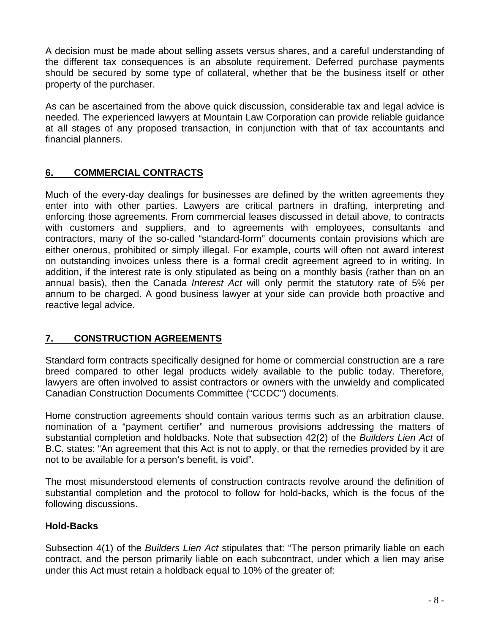A decision must be made about selling assets versus shares, and a careful understanding of the different tax consequences is an absolute requirement. Deferred purchase payments should be secured by some type of collateral, whether that be the business itself or other property of the purchaser.

As can be ascertained from the above quick discussion, considerable tax and legal advice is needed. The experienced lawyers at Mountain Law Corporation can provide reliable guidance at all stages of any proposed transaction, in conjunction with that of tax accountants and financial planners.

# **6. COMMERCIAL CONTRACTS**

Much of the every-day dealings for businesses are defined by the written agreements they enter into with other parties. Lawyers are critical partners in drafting, interpreting and enforcing those agreements. From commercial leases discussed in detail above, to contracts with customers and suppliers, and to agreements with employees, consultants and contractors, many of the so-called "standard-form" documents contain provisions which are either onerous, prohibited or simply illegal. For example, courts will often not award interest on outstanding invoices unless there is a formal credit agreement agreed to in writing. In addition, if the interest rate is only stipulated as being on a monthly basis (rather than on an annual basis), then the Canada *Interest Act* will only permit the statutory rate of 5% per annum to be charged. A good business lawyer at your side can provide both proactive and reactive legal advice.

# **7. CONSTRUCTION AGREEMENTS**

Standard form contracts specifically designed for home or commercial construction are a rare breed compared to other legal products widely available to the public today. Therefore, lawyers are often involved to assist contractors or owners with the unwieldy and complicated Canadian Construction Documents Committee ("CCDC") documents.

Home construction agreements should contain various terms such as an arbitration clause, nomination of a "payment certifier" and numerous provisions addressing the matters of substantial completion and holdbacks. Note that subsection 42(2) of the *Builders Lien Act* of B.C. states: "An agreement that this Act is not to apply, or that the remedies provided by it are not to be available for a person's benefit, is void".

The most misunderstood elements of construction contracts revolve around the definition of substantial completion and the protocol to follow for hold-backs, which is the focus of the following discussions.

# **Hold-Backs**

Subsection 4(1) of the *Builders Lien Act* stipulates that: "The person primarily liable on each contract, and the person primarily liable on each subcontract, under which a lien may arise under this Act must retain a holdback equal to 10% of the greater of: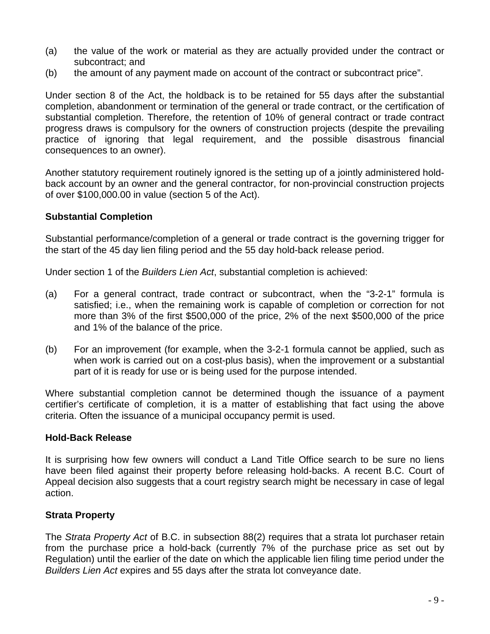- (a) the value of the work or material as they are actually provided under the contract or subcontract; and
- (b) the amount of any payment made on account of the contract or subcontract price".

Under section 8 of the Act, the holdback is to be retained for 55 days after the substantial completion, abandonment or termination of the general or trade contract, or the certification of substantial completion. Therefore, the retention of 10% of general contract or trade contract progress draws is compulsory for the owners of construction projects (despite the prevailing practice of ignoring that legal requirement, and the possible disastrous financial consequences to an owner).

Another statutory requirement routinely ignored is the setting up of a jointly administered holdback account by an owner and the general contractor, for non-provincial construction projects of over \$100,000.00 in value (section 5 of the Act).

#### **Substantial Completion**

Substantial performance/completion of a general or trade contract is the governing trigger for the start of the 45 day lien filing period and the 55 day hold-back release period.

Under section 1 of the *Builders Lien Act*, substantial completion is achieved:

- (a) For a general contract, trade contract or subcontract, when the "3-2-1" formula is satisfied; i.e., when the remaining work is capable of completion or correction for not more than 3% of the first \$500,000 of the price, 2% of the next \$500,000 of the price and 1% of the balance of the price.
- (b) For an improvement (for example, when the 3-2-1 formula cannot be applied, such as when work is carried out on a cost-plus basis), when the improvement or a substantial part of it is ready for use or is being used for the purpose intended.

Where substantial completion cannot be determined though the issuance of a payment certifier's certificate of completion, it is a matter of establishing that fact using the above criteria. Often the issuance of a municipal occupancy permit is used.

#### **Hold-Back Release**

It is surprising how few owners will conduct a Land Title Office search to be sure no liens have been filed against their property before releasing hold-backs. A recent B.C. Court of Appeal decision also suggests that a court registry search might be necessary in case of legal action.

# **Strata Property**

The *Strata Property Act* of B.C. in subsection 88(2) requires that a strata lot purchaser retain from the purchase price a hold-back (currently 7% of the purchase price as set out by Regulation) until the earlier of the date on which the applicable lien filing time period under the *Builders Lien Act* expires and 55 days after the strata lot conveyance date.